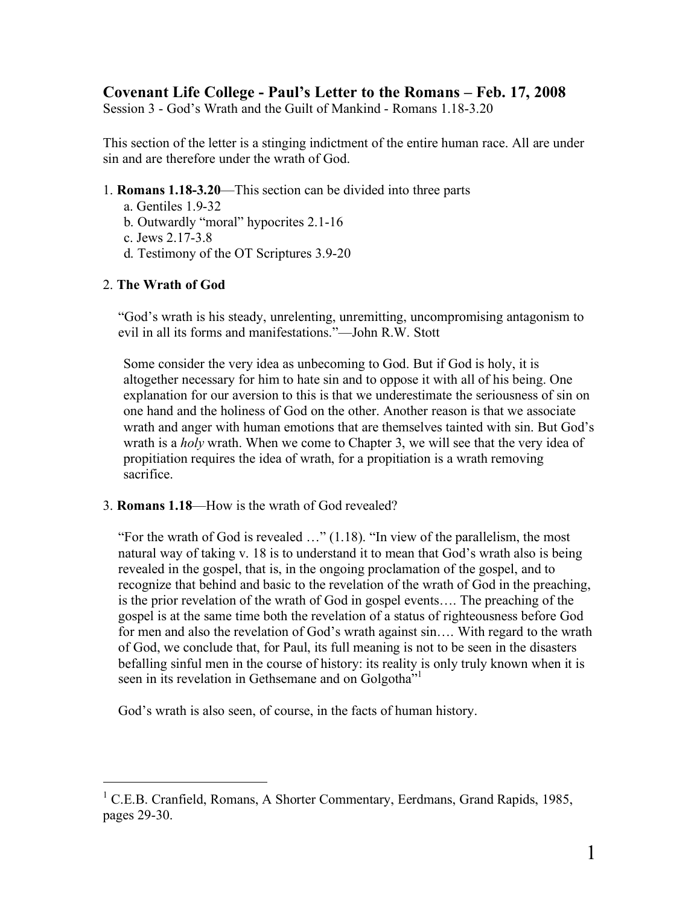## **Covenant Life College - Paul's Letter to the Romans – Feb. 17, 2008**

Session 3 - God's Wrath and the Guilt of Mankind - Romans 1.18-3.20

This section of the letter is a stinging indictment of the entire human race. All are under sin and are therefore under the wrath of God.

- 1. **Romans 1.18-3.20**—This section can be divided into three parts
	- a. Gentiles 1.9-32
	- b. Outwardly "moral" hypocrites 2.1-16
	- c. Jews 2.17-3.8
	- d. Testimony of the OT Scriptures 3.9-20

## 2. **The Wrath of God**

"God's wrath is his steady, unrelenting, unremitting, uncompromising antagonism to evil in all its forms and manifestations."—John R.W. Stott

Some consider the very idea as unbecoming to God. But if God is holy, it is altogether necessary for him to hate sin and to oppose it with all of his being. One explanation for our aversion to this is that we underestimate the seriousness of sin on one hand and the holiness of God on the other. Another reason is that we associate wrath and anger with human emotions that are themselves tainted with sin. But God's wrath is a *holy* wrath. When we come to Chapter 3, we will see that the very idea of propitiation requires the idea of wrath, for a propitiation is a wrath removing sacrifice.

3. **Romans 1.18**—How is the wrath of God revealed?

"For the wrath of God is revealed …" (1.18). "In view of the parallelism, the most natural way of taking v. 18 is to understand it to mean that God's wrath also is being revealed in the gospel, that is, in the ongoing proclamation of the gospel, and to recognize that behind and basic to the revelation of the wrath of God in the preaching, is the prior revelation of the wrath of God in gospel events…. The preaching of the gospel is at the same time both the revelation of a status of righteousness before God for men and also the revelation of God's wrath against sin.... With regard to the wrath of God, we conclude that, for Paul, its full meaning is not to be seen in the disasters befalling sinful men in the course of history: its reality is only truly known when it is seen in its revelation in Gethsemane and on Golgotha"<sup>1</sup>

God's wrath is also seen, of course, in the facts of human history.

<sup>&</sup>lt;sup>1</sup> C.E.B. Cranfield, Romans, A Shorter Commentary, Eerdmans, Grand Rapids, 1985, pages 29-30.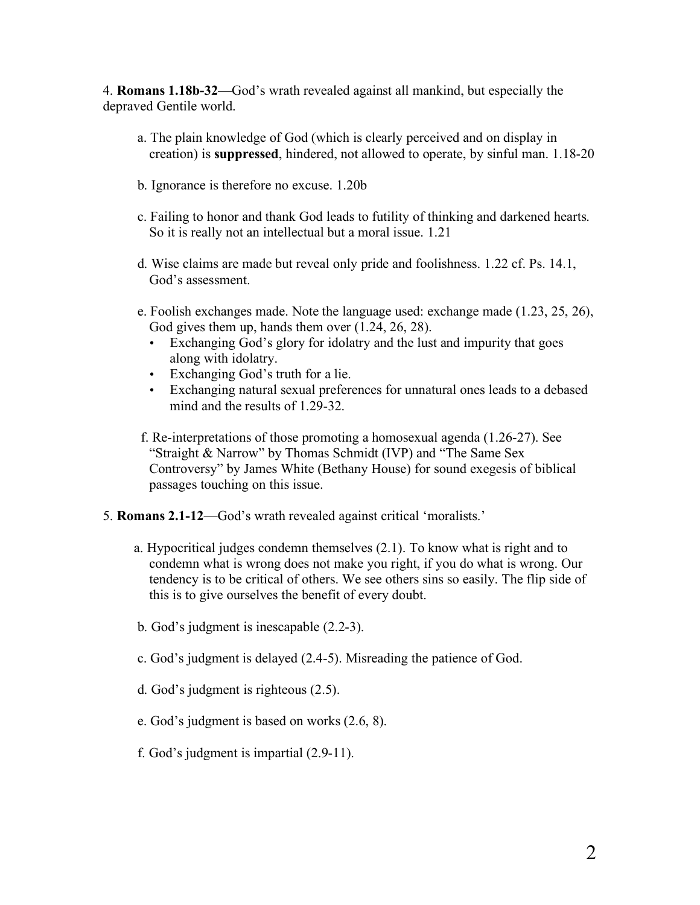4. **Romans 1.18b-32**—God's wrath revealed against all mankind, but especially the depraved Gentile world.

- a. The plain knowledge of God (which is clearly perceived and on display in creation) is **suppressed**, hindered, not allowed to operate, by sinful man. 1.18-20
- b. Ignorance is therefore no excuse. 1.20b
- c. Failing to honor and thank God leads to futility of thinking and darkened hearts. So it is really not an intellectual but a moral issue. 1.21
- d. Wise claims are made but reveal only pride and foolishness. 1.22 cf. Ps. 14.1, God's assessment.
- e. Foolish exchanges made. Note the language used: exchange made (1.23, 25, 26), God gives them up, hands them over (1.24, 26, 28).
	- Exchanging God's glory for idolatry and the lust and impurity that goes along with idolatry.
	- Exchanging God's truth for a lie.
	- Exchanging natural sexual preferences for unnatural ones leads to a debased mind and the results of 1.29-32.
- f. Re-interpretations of those promoting a homosexual agenda (1.26-27). See "Straight & Narrow" by Thomas Schmidt (IVP) and "The Same Sex Controversy" by James White (Bethany House) for sound exegesis of biblical passages touching on this issue.
- 5. **Romans 2.1-12**—God's wrath revealed against critical 'moralists.'
	- a. Hypocritical judges condemn themselves (2.1). To know what is right and to condemn what is wrong does not make you right, if you do what is wrong. Our tendency is to be critical of others. We see others sins so easily. The flip side of this is to give ourselves the benefit of every doubt.
	- b. God's judgment is inescapable (2.2-3).
	- c. God's judgment is delayed (2.4-5). Misreading the patience of God.
	- d. God's judgment is righteous (2.5).
	- e. God's judgment is based on works (2.6, 8).
	- f. God's judgment is impartial (2.9-11).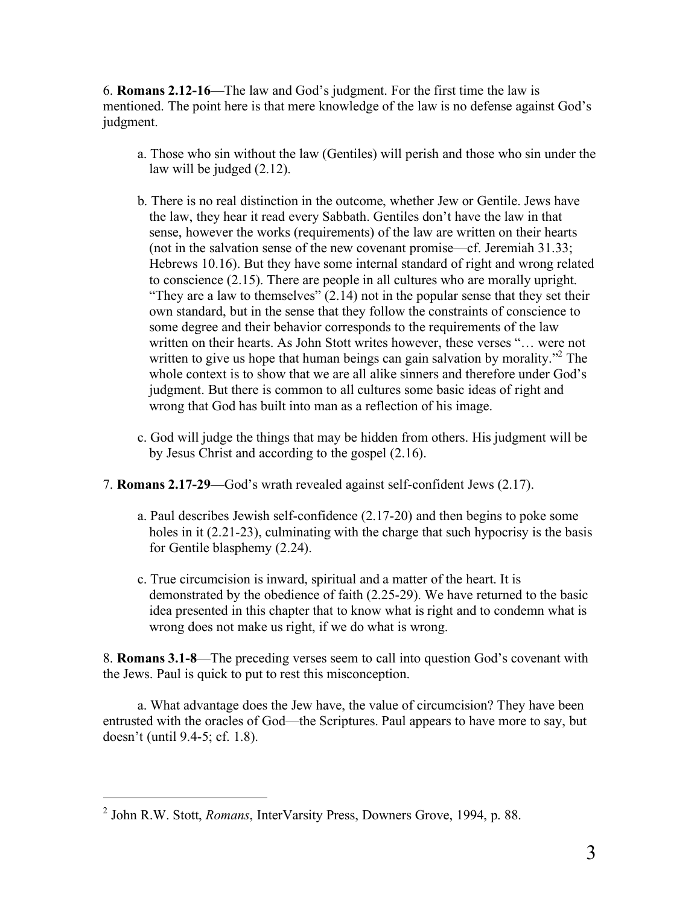6. **Romans 2.12-16**—The law and God's judgment. For the first time the law is mentioned. The point here is that mere knowledge of the law is no defense against God's judgment.

- a. Those who sin without the law (Gentiles) will perish and those who sin under the law will be judged (2.12).
- b. There is no real distinction in the outcome, whether Jew or Gentile. Jews have the law, they hear it read every Sabbath. Gentiles don't have the law in that sense, however the works (requirements) of the law are written on their hearts (not in the salvation sense of the new covenant promise—cf. Jeremiah 31.33; Hebrews 10.16). But they have some internal standard of right and wrong related to conscience (2.15). There are people in all cultures who are morally upright. "They are a law to themselves"  $(2.14)$  not in the popular sense that they set their own standard, but in the sense that they follow the constraints of conscience to some degree and their behavior corresponds to the requirements of the law written on their hearts. As John Stott writes however, these verses "… were not written to give us hope that human beings can gain salvation by morality."<sup>2</sup> The whole context is to show that we are all alike sinners and therefore under God's judgment. But there is common to all cultures some basic ideas of right and wrong that God has built into man as a reflection of his image.
- c. God will judge the things that may be hidden from others. His judgment will be by Jesus Christ and according to the gospel (2.16).
- 7. **Romans 2.17-29**—God's wrath revealed against self-confident Jews (2.17).
	- a. Paul describes Jewish self-confidence (2.17-20) and then begins to poke some holes in it (2.21-23), culminating with the charge that such hypocrisy is the basis for Gentile blasphemy (2.24).
	- c. True circumcision is inward, spiritual and a matter of the heart. It is demonstrated by the obedience of faith (2.25-29). We have returned to the basic idea presented in this chapter that to know what is right and to condemn what is wrong does not make us right, if we do what is wrong.

8. **Romans 3.1-8**—The preceding verses seem to call into question God's covenant with the Jews. Paul is quick to put to rest this misconception.

a. What advantage does the Jew have, the value of circumcision? They have been entrusted with the oracles of God—the Scriptures. Paul appears to have more to say, but doesn't (until 9.4-5; cf. 1.8).

 <sup>2</sup> John R.W. Stott, *Romans*, InterVarsity Press, Downers Grove, 1994, p. 88.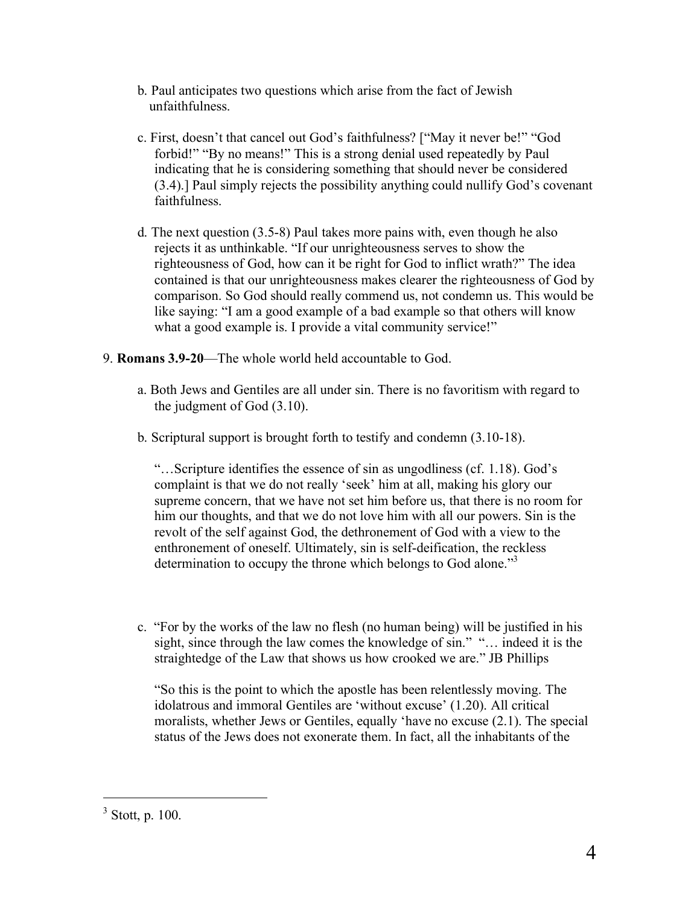- b. Paul anticipates two questions which arise from the fact of Jewish unfaithfulness.
- c. First, doesn't that cancel out God's faithfulness? ["May it never be!" "God forbid!" "By no means!" This is a strong denial used repeatedly by Paul indicating that he is considering something that should never be considered (3.4).] Paul simply rejects the possibility anything could nullify God's covenant faithfulness.
- d. The next question (3.5-8) Paul takes more pains with, even though he also rejects it as unthinkable. "If our unrighteousness serves to show the righteousness of God, how can it be right for God to inflict wrath?" The idea contained is that our unrighteousness makes clearer the righteousness of God by comparison. So God should really commend us, not condemn us. This would be like saying: "I am a good example of a bad example so that others will know what a good example is. I provide a vital community service!"
- 9. **Romans 3.9-20**—The whole world held accountable to God.
	- a. Both Jews and Gentiles are all under sin. There is no favoritism with regard to the judgment of God (3.10).
	- b. Scriptural support is brought forth to testify and condemn (3.10-18).

"…Scripture identifies the essence of sin as ungodliness (cf. 1.18). God's complaint is that we do not really 'seek' him at all, making his glory our supreme concern, that we have not set him before us, that there is no room for him our thoughts, and that we do not love him with all our powers. Sin is the revolt of the self against God, the dethronement of God with a view to the enthronement of oneself. Ultimately, sin is self-deification, the reckless determination to occupy the throne which belongs to God alone."<sup>3</sup>

c. "For by the works of the law no flesh (no human being) will be justified in his sight, since through the law comes the knowledge of sin." "… indeed it is the straightedge of the Law that shows us how crooked we are." JB Phillips

"So this is the point to which the apostle has been relentlessly moving. The idolatrous and immoral Gentiles are 'without excuse' (1.20). All critical moralists, whether Jews or Gentiles, equally 'have no excuse (2.1). The special status of the Jews does not exonerate them. In fact, all the inhabitants of the

 $3$  Stott, p. 100.